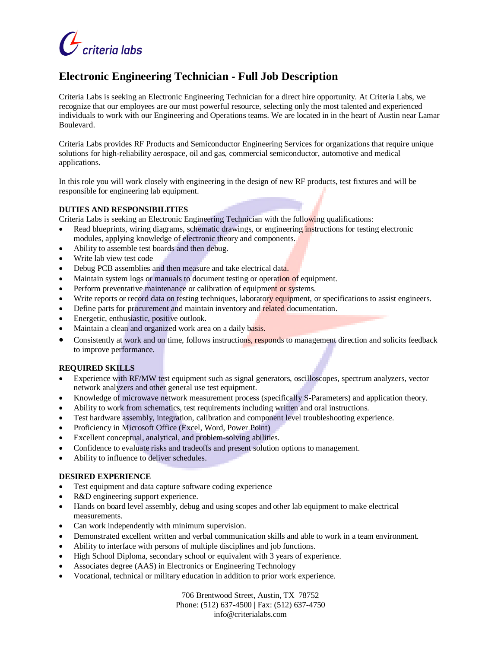

# **Electronic Engineering Technician - Full Job Description**

Criteria Labs is seeking an Electronic Engineering Technician for a direct hire opportunity. At Criteria Labs, we recognize that our employees are our most powerful resource, selecting only the most talented and experienced individuals to work with our Engineering and Operations teams. We are located in in the heart of Austin near Lamar Boulevard.

Criteria Labs provides RF Products and Semiconductor Engineering Services for organizations that require unique solutions for high-reliability aerospace, oil and gas, commercial semiconductor, automotive and medical applications.

In this role you will work closely with engineering in the design of new RF products, test fixtures and will be responsible for engineering lab equipment.

## **DUTIES AND RESPONSIBILITIES**

Criteria Labs is seeking an Electronic Engineering Technician with the following qualifications:

- Read blueprints, wiring diagrams, schematic drawings, or engineering instructions for testing electronic modules, applying knowledge of electronic theory and components.
- Ability to assemble test boards and then debug.
- Write lab view test code
- Debug PCB assemblies and then measure and take electrical data.
- Maintain system logs or manuals to document testing or operation of equipment.
- Perform preventative maintenance or calibration of equipment or systems.
- Write reports or record data on testing techniques, laboratory equipment, or specifications to assist engineers.
- Define parts for procurement and maintain inventory and related documentation.
- Energetic, enthusiastic, positive outlook.
- Maintain a clean and organized work area on a daily basis.
- Consistently at work and on time, follows instructions, responds to management direction and solicits feedback to improve performance.

## **REQUIRED SKILLS**

- Experience with RF/MW test equipment such as signal generators, oscilloscopes, spectrum analyzers, vector network analyzers and other general use test equipment.
- Knowledge of microwave network measurement process (specifically S-Parameters) and application theory.
- Ability to work from schematics, test requirements including written and oral instructions.
- Test hardware assembly, integration, calibration and component level troubleshooting experience.
- Proficiency in Microsoft Office (Excel, Word, Power Point)
- Excellent conceptual, analytical, and problem-solving abilities.
- Confidence to evaluate risks and tradeoffs and present solution options to management.
- Ability to influence to deliver schedules.

## **DESIRED EXPERIENCE**

- Test equipment and data capture software coding experience
- R&D engineering support experience.
- Hands on board level assembly, debug and using scopes and other lab equipment to make electrical measurements.
- Can work independently with minimum supervision.
- Demonstrated excellent written and verbal communication skills and able to work in a team environment.
- Ability to interface with persons of multiple disciplines and job functions.
- High School Diploma, secondary school or equivalent with 3 years of experience.
- Associates degree (AAS) in Electronics or Engineering Technology
- Vocational, technical or military education in addition to prior work experience.

706 Brentwood Street, Austin, TX 78752 Phone: (512) 637-4500 | Fax: (512) 637-4750 info@criterialabs.com